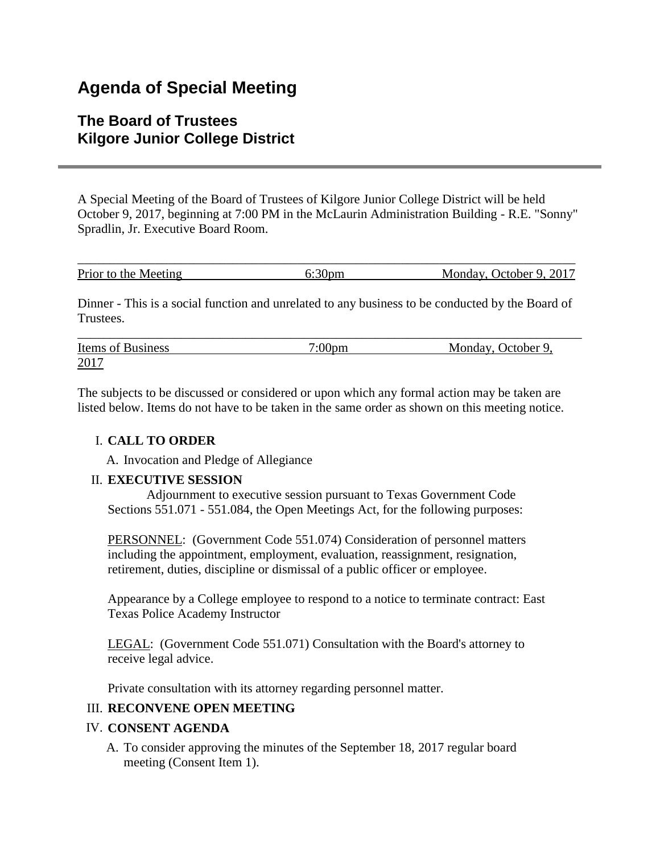# **Agenda of Special Meeting**

## **The Board of Trustees Kilgore Junior College District**

A Special Meeting of the Board of Trustees of Kilgore Junior College District will be held October 9, 2017, beginning at 7:00 PM in the McLaurin Administration Building - R.E. "Sonny" Spradlin, Jr. Executive Board Room.

| Prior to the Meeting | Monday, October 9, 2017 |
|----------------------|-------------------------|

Dinner - This is a social function and unrelated to any business to be conducted by the Board of Trustees.

| Items of Business | $7:00 \text{pm}$ | Monday, October 9, |
|-------------------|------------------|--------------------|
| 2017              |                  |                    |

The subjects to be discussed or considered or upon which any formal action may be taken are listed below. Items do not have to be taken in the same order as shown on this meeting notice.

### I. **CALL TO ORDER**

A. Invocation and Pledge of Allegiance

### II. **EXECUTIVE SESSION**

 Adjournment to executive session pursuant to Texas Government Code Sections 551.071 - 551.084, the Open Meetings Act, for the following purposes:

PERSONNEL: (Government Code 551.074) Consideration of personnel matters including the appointment, employment, evaluation, reassignment, resignation, retirement, duties, discipline or dismissal of a public officer or employee.

Appearance by a College employee to respond to a notice to terminate contract: East Texas Police Academy Instructor

LEGAL: (Government Code 551.071) Consultation with the Board's attorney to receive legal advice.

Private consultation with its attorney regarding personnel matter.

### III. **RECONVENE OPEN MEETING**

### IV. **CONSENT AGENDA**

A. To consider approving the minutes of the September 18, 2017 regular board meeting (Consent Item 1).